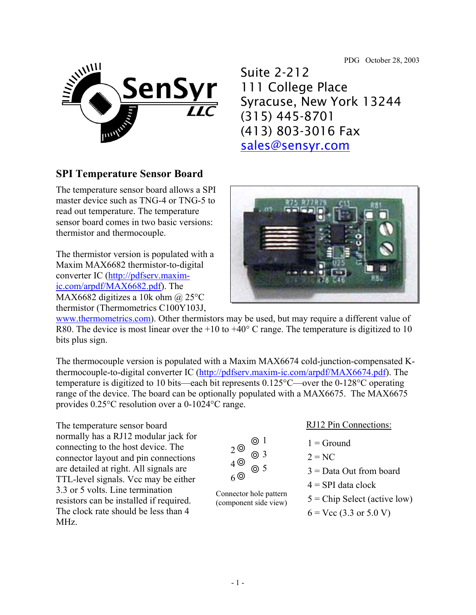PDG October 28, 2003



## **SPI Temperature Sensor Board**

The temperature sensor board allows a SPI master device such as TNG-4 or TNG-5 to read out temperature. The temperature sensor board comes in two basic versions: thermistor and thermocouple.

The thermistor version is populated with a Maxim MAX6682 thermistor-to-digital converter IC (http://pdfserv.maximic.com/arpdf/MAX6682.pdf). The MAX6682 digitizes a 10k ohm @ 25 $\rm{^{\circ}C}$ thermistor (Thermometrics C100Y103J,



Suite 2-212

111 College Place

(413) 803-3016 Fax

sales@sensyr.com

(315) 445-8701

Syracuse, New York 13244

www.thermometrics.com). Other thermistors may be used, but may require a different value of R80. The device is most linear over the  $+10$  to  $+40^{\circ}$  C range. The temperature is digitized to 10 bits plus sign.

The thermocouple version is populated with a Maxim MAX6674 cold-junction-compensated Kthermocouple-to-digital converter IC (http://pdfserv.maxim-ic.com/arpdf/MAX6674.pdf). The temperature is digitized to 10 bits—each bit represents 0.125°C—over the 0-128°C operating range of the device. The board can be optionally populated with a MAX6675. The MAX6675 provides 0.25°C resolution over a 0-1024°C range.

The temperature sensor board normally has a RJ12 modular jack for connecting to the host device. The connector layout and pin connections are detailed at right. All signals are TTL-level signals. Vcc may be either 3.3 or 5 volts. Line termination resistors can be installed if required. The clock rate should be less than 4 MHz.

|            | ⊚ 1              |
|------------|------------------|
| 2 ©        | $\odot$ 3        |
| 4 ©<br>6 © | $\circledcirc$ 5 |

Connector hole pattern (component side view)

| <b>RJ12 Pin Connections:</b> |
|------------------------------|
|                              |

- $1 =$  Ground
- $2 = NC$ 
	- 3 = Data Out from board
	- $4 =$ SPI data clock
- $5 =$ Chip Select (active low)
- $6 =$  Vcc (3.3 or 5.0 V)